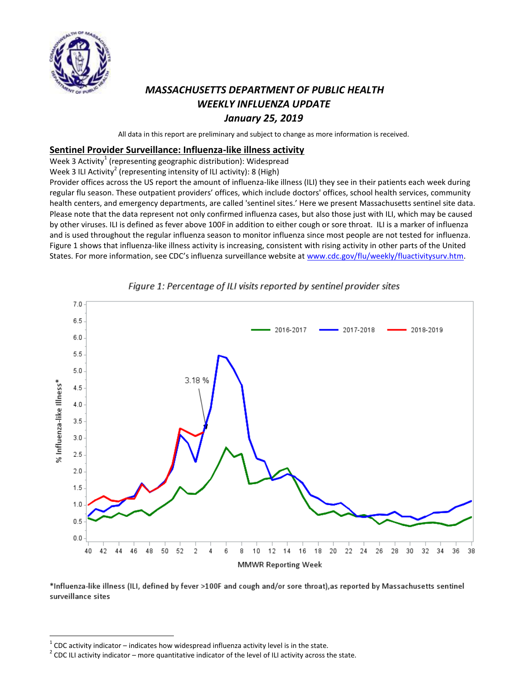

# *MASSACHUSETTS DEPARTMENT OF PUBLIC HEALTH WEEKLY INFLUENZA UPDATE January 25, 2019*

All data in this report are preliminary and subject to change as more information is received.

#### **Sentinel Provider Surveillance: Influenza-like illness activity**

Week 3 Activity $^1$  (representing geographic distribution): Widespread

Week 3 ILI Activity<sup>2</sup> (representing intensity of ILI activity): 8 (High)

Provider offices across the US report the amount of influenza-like illness (ILI) they see in their patients each week during regular flu season. These outpatient providers' offices, which include doctors' offices, school health services, community health centers, and emergency departments, are called 'sentinel sites.' Here we present Massachusetts sentinel site data. Please note that the data represent not only confirmed influenza cases, but also those just with ILI, which may be caused by other viruses. ILI is defined as fever above 100F in addition to either cough or sore throat. ILI is a marker of influenza and is used throughout the regular influenza season to monitor influenza since most people are not tested for influenza. Figure 1 shows that influenza-like illness activity is increasing, consistent with rising activity in other parts of the United States. For more information, see CDC's influenza surveillance website at [www.cdc.gov/flu/weekly/fluactivitysurv.htm.](http://www.cdc.gov/flu/weekly/fluactivitysurv.htm)



#### Figure 1: Percentage of ILI visits reported by sentinel provider sites

\*Influenza-like illness (ILI, defined by fever >100F and cough and/or sore throat),as reported by Massachusetts sentinel surveillance sites

 $\overline{a}$ 

 $1$  CDC activity indicator – indicates how widespread influenza activity level is in the state.

 $2$  CDC ILI activity indicator – more quantitative indicator of the level of ILI activity across the state.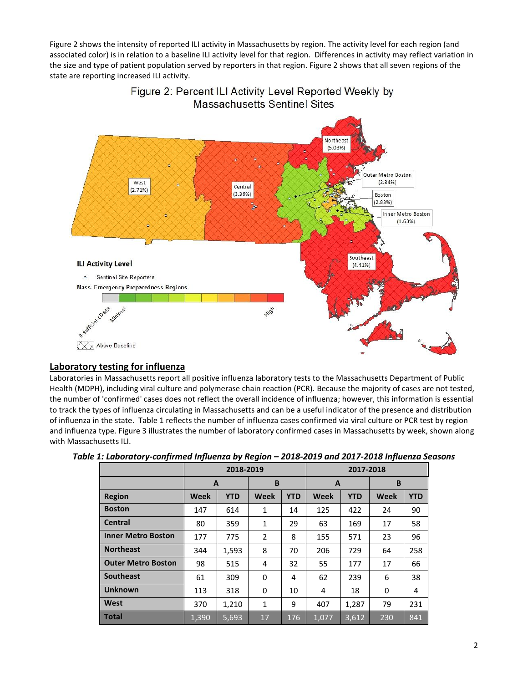Figure 2 shows the intensity of reported ILI activity in Massachusetts by region. The activity level for each region (and associated color) is in relation to a baseline ILI activity level for that region. Differences in activity may reflect variation in the size and type of patient population served by reporters in that region. Figure 2 shows that all seven regions of the state are reporting increased ILI activity.



### Figure 2: Percent ILI Activity Level Reported Weekly by **Massachusetts Sentinel Sites**

### **Laboratory testing for influenza**

Laboratories in Massachusetts report all positive influenza laboratory tests to the Massachusetts Department of Public Health (MDPH), including viral culture and polymerase chain reaction (PCR). Because the majority of cases are not tested, the number of 'confirmed' cases does not reflect the overall incidence of influenza; however, this information is essential to track the types of influenza circulating in Massachusetts and can be a useful indicator of the presence and distribution of influenza in the state. Table 1 reflects the number of influenza cases confirmed via viral culture or PCR test by region and influenza type. Figure 3 illustrates the number of laboratory confirmed cases in Massachusetts by week, shown along with Massachusetts ILI.

|                           |                           | 2018-2019 |              | 2017-2018  |             |            |             |            |
|---------------------------|---------------------------|-----------|--------------|------------|-------------|------------|-------------|------------|
|                           | A                         |           | B            |            | A           |            | B           |            |
| <b>Region</b>             | <b>Week</b><br><b>YTD</b> |           | <b>Week</b>  | <b>YTD</b> | <b>Week</b> | <b>YTD</b> | <b>Week</b> | <b>YTD</b> |
| <b>Boston</b>             | 147                       | 614       | 1            | 14         | 125         | 422        | 24          | 90         |
| <b>Central</b>            | 80                        | 359       | $\mathbf{1}$ | 29         | 63          | 169        | 17          | 58         |
| <b>Inner Metro Boston</b> | 177                       | 775       | 2            | 8          | 155         | 571        | 23          | 96         |
| <b>Northeast</b>          | 344                       | 1,593     | 8            | 70         | 206         | 729        | 64          | 258        |
| <b>Outer Metro Boston</b> | 98                        | 515       | 4            | 32         | 55          | 177        | 17          | 66         |
| <b>Southeast</b>          | 61                        | 309       | $\Omega$     | 4          | 62          | 239        | 6           | 38         |
| <b>Unknown</b>            | 113                       | 318       | 0            | 10         | 4           | 18         | 0           | 4          |
| <b>West</b>               | 370                       | 1,210     | 1            | 9          | 407         | 1,287      | 79          | 231        |
| <b>Total</b>              | 1,390                     | 5,693     | 17           | 176        | 1,077       | 3,612      | 230         | 841        |

| Table 1: Laboratory-confirmed Influenza by Region – 2018-2019 and 2017-2018 Influenza Seasons |  |  |  |
|-----------------------------------------------------------------------------------------------|--|--|--|
|-----------------------------------------------------------------------------------------------|--|--|--|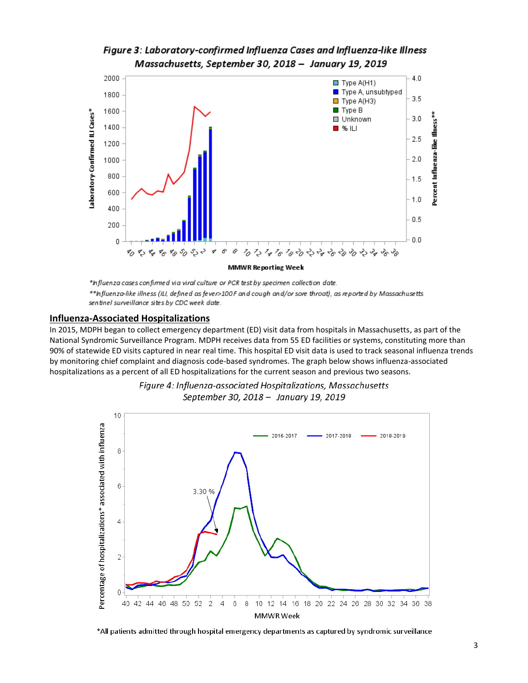### Figure 3: Laboratory-confirmed Influenza Cases and Influenza-like Illness Massachusetts, September 30, 2018 - January 19, 2019



\*Influenza cases confirmed via viral culture or PCR test by specimen collection date. \*\*Influenza-like illness (ILI, defined as fever>100F and cough and/or sore throat), as reported by Massachusetts sentinel surveillance sites by CDC week date.

#### **Influenza-Associated Hospitalizations**

In 2015, MDPH began to collect emergency department (ED) visit data from hospitals in Massachusetts, as part of the National Syndromic Surveillance Program. MDPH receives data from 55 ED facilities or systems, constituting more than 90% of statewide ED visits captured in near real time. This hospital ED visit data is used to track seasonal influenza trends by monitoring chief complaint and diagnosis code-based syndromes. The graph below shows influenza-associated hospitalizations as a percent of all ED hospitalizations for the current season and previous two seasons.





All patients admitted through hospital emergency departments as captured by syndromic surveillance\*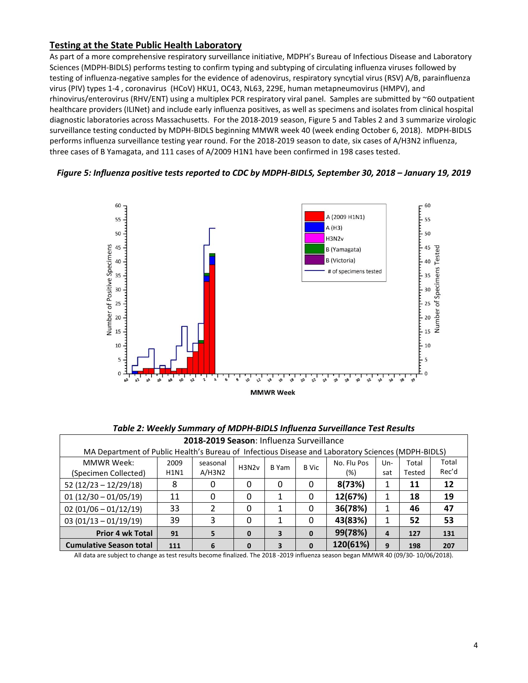#### **Testing at the State Public Health Laboratory**

As part of a more comprehensive respiratory surveillance initiative, MDPH's Bureau of Infectious Disease and Laboratory Sciences (MDPH-BIDLS) performs testing to confirm typing and subtyping of circulating influenza viruses followed by testing of influenza-negative samples for the evidence of adenovirus, respiratory syncytial virus (RSV) A/B, parainfluenza virus (PIV) types 1-4 , coronavirus (HCoV) HKU1, OC43, NL63, 229E, human metapneumovirus (HMPV), and rhinovirus/enterovirus (RHV/ENT) using a multiplex PCR respiratory viral panel. Samples are submitted by ~60 outpatient healthcare providers (ILINet) and include early influenza positives, as well as specimens and isolates from clinical hospital diagnostic laboratories across Massachusetts. For the 2018-2019 season, Figure 5 and Tables 2 and 3 summarize virologic surveillance testing conducted by MDPH-BIDLS beginning MMWR week 40 (week ending October 6, 2018). MDPH-BIDLS performs influenza surveillance testing year round. For the 2018-2019 season to date, six cases of A/H3N2 influenza, three cases of B Yamagata, and 111 cases of A/2009 H1N1 have been confirmed in 198 cases tested.





*Table 2: Weekly Summary of MDPH-BIDLS Influenza Surveillance Test Results*

| 2018-2019 Season: Influenza Surveillance                                                           |             |          |              |       |              |             |       |        |       |
|----------------------------------------------------------------------------------------------------|-------------|----------|--------------|-------|--------------|-------------|-------|--------|-------|
| MA Department of Public Health's Bureau of Infectious Disease and Laboratory Sciences (MDPH-BIDLS) |             |          |              |       |              |             |       |        |       |
| <b>MMWR Week:</b>                                                                                  | 2009        | seasonal | H3N2v        | B Yam | <b>B</b> Vic | No. Flu Pos | $Un-$ | Total  | Total |
| (Specimen Collected)                                                                               | <b>H1N1</b> | A/H3N2   |              |       |              | (%)         | sat   | Tested | Rec'd |
| $52(12/23 - 12/29/18)$                                                                             | 8           | 0        | 0            | 0     | 0            | 8(73%)      |       | 11     | 12    |
| $01(12/30 - 01/05/19)$                                                                             | 11          | 0        | $\Omega$     |       | 0            | 12(67%)     |       | 18     | 19    |
| $02(01/06 - 01/12/19)$                                                                             | 33          | 2        | 0            |       | 0            | 36(78%)     |       | 46     | 47    |
| $03(01/13 - 01/19/19)$                                                                             | 39          | 3        | 0            |       | 0            | 43(83%)     |       | 52     | 53    |
| <b>Prior 4 wk Total</b>                                                                            | 91          |          | $\mathbf{0}$ | 3     | $\mathbf{0}$ | 99(78%)     | 4     | 127    | 131   |
| <b>Cumulative Season total</b>                                                                     | 111         | 6        | $\mathbf{0}$ | 3     | $\mathbf{0}$ | 120(61%)    | 9     | 198    | 207   |

All data are subject to change as test results become finalized. The 2018 -2019 influenza season began MMWR 40 (09/30- 10/06/2018).